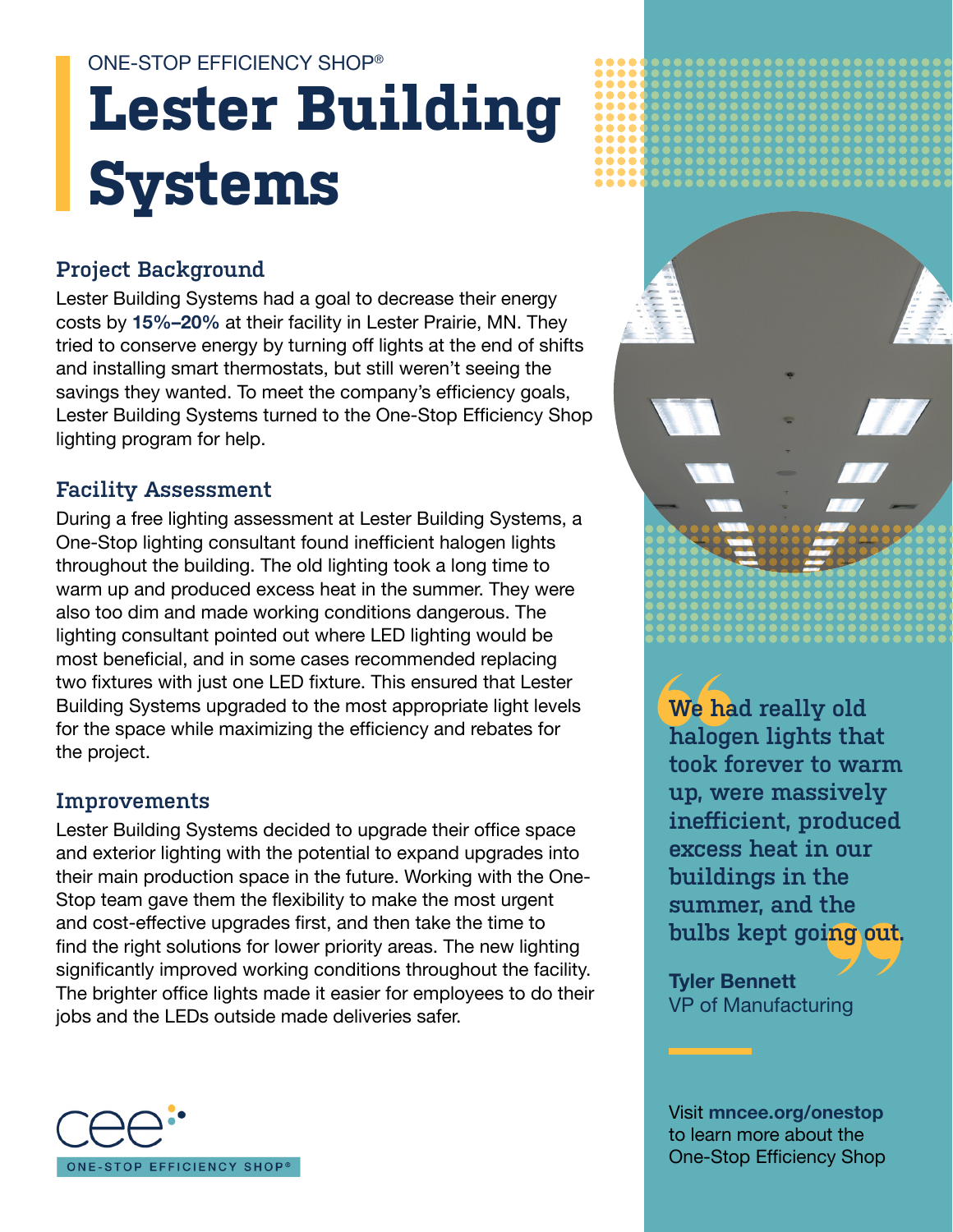# **Lester Building Systems** ONE-STOP EFFICIENCY SHOP®

## **Project Background**

Lester Building Systems had a goal to decrease their energy costs by **15%–20%** at their facility in Lester Prairie, MN. They tried to conserve energy by turning off lights at the end of shifts and installing smart thermostats, but still weren't seeing the savings they wanted. To meet the company's efficiency goals, Lester Building Systems turned to the One-Stop Efficiency Shop lighting program for help.

#### **Facility Assessment**

During a free lighting assessment at Lester Building Systems, a One-Stop lighting consultant found inefficient halogen lights throughout the building. The old lighting took a long time to warm up and produced excess heat in the summer. They were also too dim and made working conditions dangerous. The lighting consultant pointed out where LED lighting would be most beneficial, and in some cases recommended replacing two fixtures with just one LED fixture. This ensured that Lester Building Systems upgraded to the most appropriate light levels for the space while maximizing the efficiency and rebates for the project.

#### **Improvements**

Lester Building Systems decided to upgrade their office space and exterior lighting with the potential to expand upgrades into their main production space in the future. Working with the One-Stop team gave them the flexibility to make the most urgent and cost-effective upgrades first, and then take the time to find the right solutions for lower priority areas. The new lighting significantly improved working conditions throughout the facility. The brighter office lights made it easier for employees to do their jobs and the LEDs outside made deliveries safer.





**We had really old halogen lights that took forever to warm up, were massively inefficient, produced excess heat in our buildings in the summer, and the bulbs kept going out.**

**Tyler Bennett** VP of Manufacturing

Visit **[mncee.org/onestop](http://mncee.org/onestop)** to learn more about the One-Stop Efficiency Shop